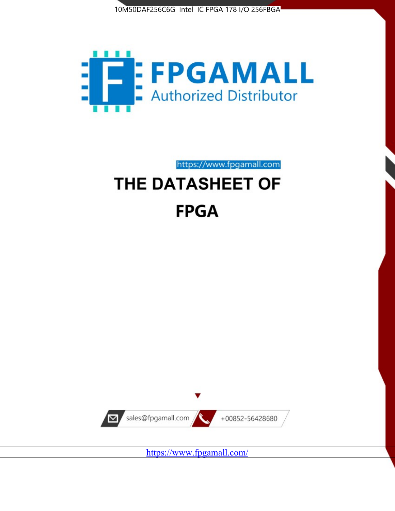



https://www.fpgamall.com THE DATASHEET OF

# **FPGA**



<https://www.fpgamall.com/>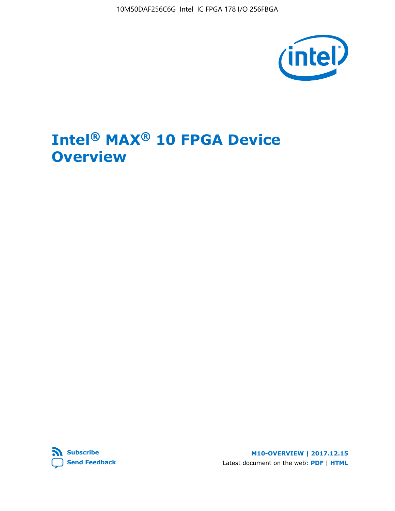10M50DAF256C6G Intel IC FPGA 178 I/O 256FBGA



# **Intel® MAX® 10 FPGA Device Overview**



**M10-OVERVIEW | 2017.12.15** Latest document on the web: **[PDF](https://www.altera.com/en_US/pdfs/literature/hb/max-10/m10_overview.pdf)** | **[HTML](https://www.altera.com/documentation/myt1396938463674.html)**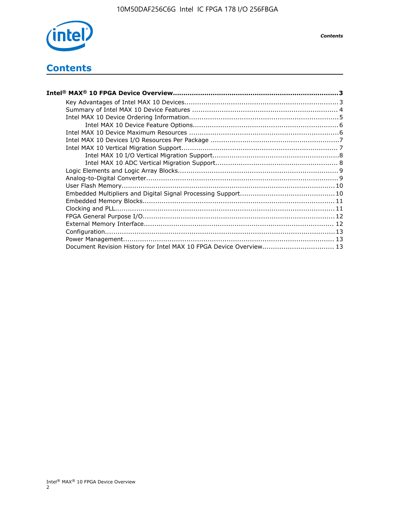

*Contents*

# **Contents**

| Intel® MAX® 10 FPGA Device Overview………………………………………………………………………………………3 |  |
|-----------------------------------------------------------------------|--|
|                                                                       |  |
|                                                                       |  |
|                                                                       |  |
|                                                                       |  |
|                                                                       |  |
|                                                                       |  |
|                                                                       |  |
|                                                                       |  |
|                                                                       |  |
|                                                                       |  |
|                                                                       |  |
|                                                                       |  |
|                                                                       |  |
|                                                                       |  |
|                                                                       |  |
|                                                                       |  |
|                                                                       |  |
|                                                                       |  |
|                                                                       |  |
| Document Revision History for Intel MAX 10 FPGA Device Overview 13    |  |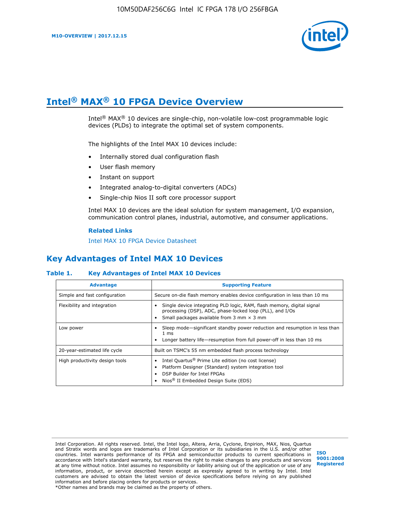

# **Intel® MAX® 10 FPGA Device Overview**

Intel<sup>®</sup> MAX<sup>®</sup> 10 devices are single-chip, non-volatile low-cost programmable logic devices (PLDs) to integrate the optimal set of system components.

The highlights of the Intel MAX 10 devices include:

- Internally stored dual configuration flash
- User flash memory
- Instant on support
- Integrated analog-to-digital converters (ADCs)
- Single-chip Nios II soft core processor support

Intel MAX 10 devices are the ideal solution for system management, I/O expansion, communication control planes, industrial, automotive, and consumer applications.

#### **Related Links**

[Intel MAX 10 FPGA Device Datasheet](https://www.altera.com/documentation/mcn1397700832153.html#mcn1397643748870)

## **Key Advantages of Intel MAX 10 Devices**

## **Table 1. Key Advantages of Intel MAX 10 Devices**

| <b>Advantage</b>               | <b>Supporting Feature</b>                                                                                                                                                                                  |  |  |  |
|--------------------------------|------------------------------------------------------------------------------------------------------------------------------------------------------------------------------------------------------------|--|--|--|
| Simple and fast configuration  | Secure on-die flash memory enables device configuration in less than 10 ms                                                                                                                                 |  |  |  |
| Flexibility and integration    | Single device integrating PLD logic, RAM, flash memory, digital signal<br>processing (DSP), ADC, phase-locked loop (PLL), and I/Os<br>Small packages available from 3 mm $\times$ 3 mm                     |  |  |  |
| Low power                      | Sleep mode—significant standby power reduction and resumption in less than<br>$1 \text{ ms}$<br>Longer battery life-resumption from full power-off in less than 10 ms                                      |  |  |  |
| 20-year-estimated life cycle   | Built on TSMC's 55 nm embedded flash process technology                                                                                                                                                    |  |  |  |
| High productivity design tools | Intel Quartus <sup>®</sup> Prime Lite edition (no cost license)<br>Platform Designer (Standard) system integration tool<br>DSP Builder for Intel FPGAs<br>Nios <sup>®</sup> II Embedded Design Suite (EDS) |  |  |  |

Intel Corporation. All rights reserved. Intel, the Intel logo, Altera, Arria, Cyclone, Enpirion, MAX, Nios, Quartus and Stratix words and logos are trademarks of Intel Corporation or its subsidiaries in the U.S. and/or other countries. Intel warrants performance of its FPGA and semiconductor products to current specifications in accordance with Intel's standard warranty, but reserves the right to make changes to any products and services at any time without notice. Intel assumes no responsibility or liability arising out of the application or use of any information, product, or service described herein except as expressly agreed to in writing by Intel. Intel customers are advised to obtain the latest version of device specifications before relying on any published information and before placing orders for products or services. \*Other names and brands may be claimed as the property of others.

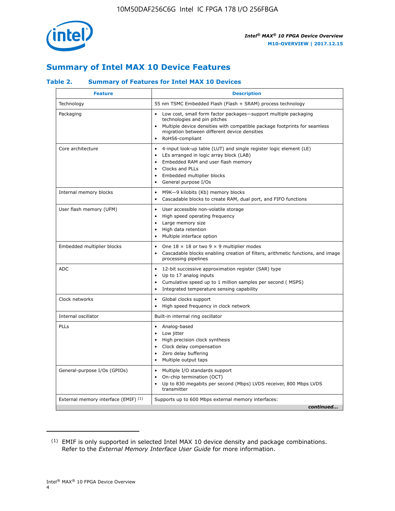

# **Summary of Intel MAX 10 Device Features**

## **Table 2. Summary of Features for Intel MAX 10 Devices**

| <b>Feature</b>                       | <b>Description</b>                                                                                                                                                                                                                                                               |
|--------------------------------------|----------------------------------------------------------------------------------------------------------------------------------------------------------------------------------------------------------------------------------------------------------------------------------|
| Technology                           | 55 nm TSMC Embedded Flash (Flash + SRAM) process technology                                                                                                                                                                                                                      |
| Packaging                            | Low cost, small form factor packages-support multiple packaging<br>technologies and pin pitches<br>Multiple device densities with compatible package footprints for seamless<br>migration between different device densities<br>RoHS6-compliant                                  |
| Core architecture                    | 4-input look-up table (LUT) and single register logic element (LE)<br>LEs arranged in logic array block (LAB)<br>$\bullet$<br>Embedded RAM and user flash memory<br>Clocks and PLLs<br>$\bullet$<br>Embedded multiplier blocks<br>$\bullet$<br>General purpose I/Os<br>$\bullet$ |
| Internal memory blocks               | M9K-9 kilobits (Kb) memory blocks<br>$\bullet$<br>Cascadable blocks to create RAM, dual port, and FIFO functions<br>$\bullet$                                                                                                                                                    |
| User flash memory (UFM)              | User accessible non-volatile storage<br>$\bullet$<br>High speed operating frequency<br>$\bullet$<br>Large memory size<br>High data retention<br>$\bullet$<br>Multiple interface option<br>$\bullet$                                                                              |
| Embedded multiplier blocks           | One $18 \times 18$ or two 9 $\times$ 9 multiplier modes<br>$\bullet$<br>Cascadable blocks enabling creation of filters, arithmetic functions, and image<br>processing pipelines                                                                                                  |
| <b>ADC</b>                           | 12-bit successive approximation register (SAR) type<br>$\bullet$<br>Up to 17 analog inputs<br>$\bullet$<br>Cumulative speed up to 1 million samples per second (MSPS)<br>Integrated temperature sensing capability                                                               |
| Clock networks                       | Global clocks support<br>$\bullet$<br>High speed frequency in clock network                                                                                                                                                                                                      |
| Internal oscillator                  | Built-in internal ring oscillator                                                                                                                                                                                                                                                |
| PLLs                                 | Analog-based<br>Low jitter<br>$\bullet$<br>High precision clock synthesis<br>Clock delay compensation<br>$\bullet$<br>Zero delay buffering<br>$\bullet$<br>Multiple output taps<br>٠                                                                                             |
| General-purpose I/Os (GPIOs)         | Multiple I/O standards support<br>$\bullet$<br>On-chip termination (OCT)<br>$\bullet$<br>Up to 830 megabits per second (Mbps) LVDS receiver, 800 Mbps LVDS<br>transmitter                                                                                                        |
| External memory interface (EMIF) (1) | Supports up to 600 Mbps external memory interfaces:<br>continued                                                                                                                                                                                                                 |

<sup>(1)</sup> EMIF is only supported in selected Intel MAX 10 device density and package combinations. Refer to the *External Memory Interface User Guide* for more information.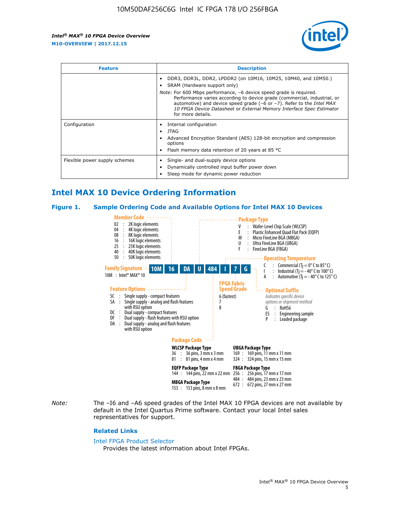

| <b>Feature</b>                | <b>Description</b>                                                                                                                                                                                                                                                                                                                                                                                                          |  |  |  |
|-------------------------------|-----------------------------------------------------------------------------------------------------------------------------------------------------------------------------------------------------------------------------------------------------------------------------------------------------------------------------------------------------------------------------------------------------------------------------|--|--|--|
|                               | DDR3, DDR3L, DDR2, LPDDR2 (on 10M16, 10M25, 10M40, and 10M50.)<br>SRAM (Hardware support only)<br><i>Note:</i> For 600 Mbps performance, -6 device speed grade is required.<br>Performance varies according to device grade (commercial, industrial, or<br>automotive) and device speed grade $(-6 \text{ or } -7)$ . Refer to the <i>Intel MAX</i><br>10 FPGA Device Datasheet or External Memory Interface Spec Estimator |  |  |  |
|                               | for more details.                                                                                                                                                                                                                                                                                                                                                                                                           |  |  |  |
| Configuration                 | Internal configuration<br>JTAG<br>٠<br>Advanced Encryption Standard (AES) 128-bit encryption and compression<br>options<br>Flash memory data retention of 20 years at 85 $^{\circ}$ C                                                                                                                                                                                                                                       |  |  |  |
| Flexible power supply schemes | Single- and dual-supply device options<br>Dynamically controlled input buffer power down<br>Sleep mode for dynamic power reduction                                                                                                                                                                                                                                                                                          |  |  |  |

# **Intel MAX 10 Device Ordering Information**

#### **Figure 1. Sample Ordering Code and Available Options for Intel MAX 10 Devices**



*Note:* The –I6 and –A6 speed grades of the Intel MAX 10 FPGA devices are not available by default in the Intel Quartus Prime software. Contact your local Intel sales representatives for support.

#### **Related Links**

#### [Intel FPGA Product Selector](http://www.altera.com/products/selector/psg-selector.html)

Provides the latest information about Intel FPGAs.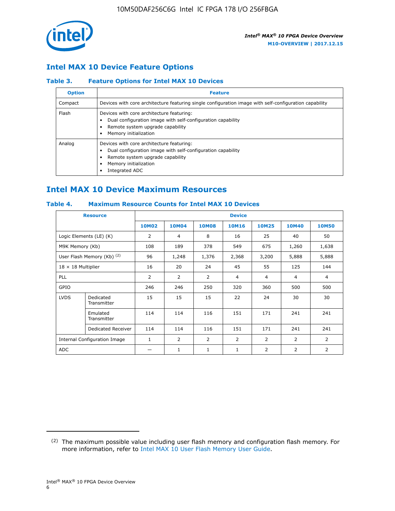

## **Intel MAX 10 Device Feature Options**

## **Table 3. Feature Options for Intel MAX 10 Devices**

| <b>Option</b> | <b>Feature</b>                                                                                                                                                                          |
|---------------|-----------------------------------------------------------------------------------------------------------------------------------------------------------------------------------------|
| Compact       | Devices with core architecture featuring single configuration image with self-configuration capability                                                                                  |
| Flash         | Devices with core architecture featuring:<br>Dual configuration image with self-configuration capability<br>Remote system upgrade capability<br>Memory initialization                   |
| Analog        | Devices with core architecture featuring:<br>Dual configuration image with self-configuration capability<br>Remote system upgrade capability<br>Memory initialization<br>Integrated ADC |

# **Intel MAX 10 Device Maximum Resources**

## **Table 4. Maximum Resource Counts for Intel MAX 10 Devices**

| <b>Resource</b>              |                            | <b>Device</b>  |              |              |                |                |              |                |
|------------------------------|----------------------------|----------------|--------------|--------------|----------------|----------------|--------------|----------------|
|                              |                            | <b>10M02</b>   | <b>10M04</b> | <b>10M08</b> | <b>10M16</b>   | <b>10M25</b>   | <b>10M40</b> | <b>10M50</b>   |
|                              | Logic Elements (LE) (K)    | $\overline{2}$ | 4            | 8            | 16             | 25             | 40           | 50             |
| M9K Memory (Kb)              |                            | 108            | 189          | 378          | 549            | 675            | 1,260        | 1,638          |
|                              | User Flash Memory (Kb) (2) | 96             | 1,248        | 1,376        | 2,368          | 3,200          | 5,888        | 5,888          |
| $18 \times 18$ Multiplier    |                            | 16             | 20           | 24           | 45             | 55             | 125          | 144            |
| <b>PLL</b>                   |                            | 2              | 2            | 2            | $\overline{4}$ | $\overline{4}$ | 4            | $\overline{4}$ |
| GPIO                         |                            | 246            | 246          | 250          | 320            | 360            | 500          | 500            |
| <b>LVDS</b>                  | Dedicated<br>Transmitter   | 15             | 15           | 15           | 22             | 24             | 30           | 30             |
|                              | Emulated<br>Transmitter    | 114            | 114          | 116          | 151            | 171            | 241          | 241            |
|                              | Dedicated Receiver         | 114            | 114          | 116          | 151            | 171            | 241          | 241            |
| Internal Configuration Image |                            | $\mathbf{1}$   | 2            | 2            | $\overline{2}$ | 2              | 2            | $\overline{2}$ |
| <b>ADC</b>                   |                            |                | 1            | 1            | $\mathbf{1}$   | 2              | 2            | 2              |

<sup>(2)</sup> The maximum possible value including user flash memory and configuration flash memory. For more information, refer to [Intel MAX 10 User Flash Memory User Guide](https://www.altera.com/documentation/vgo1395753117436.html#vgo1395811844282).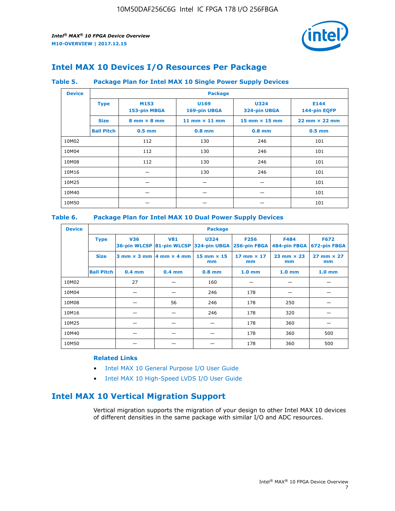

# **Intel MAX 10 Devices I/O Resources Per Package**

## **Table 5. Package Plan for Intel MAX 10 Single Power Supply Devices**

| <b>Device</b> |                   | <b>Package</b>                     |                      |                             |                                      |  |  |  |  |
|---------------|-------------------|------------------------------------|----------------------|-----------------------------|--------------------------------------|--|--|--|--|
|               | <b>Type</b>       | M153<br>153-pin MBGA               | U169<br>169-pin UBGA | <b>U324</b><br>324-pin UBGA | E144<br>144-pin EQFP                 |  |  |  |  |
|               | <b>Size</b>       | $8 \text{ mm} \times 8 \text{ mm}$ | 11 mm $\times$ 11 mm | $15$ mm $\times$ 15 mm      | $22 \text{ mm} \times 22 \text{ mm}$ |  |  |  |  |
|               | <b>Ball Pitch</b> | $0.5$ mm                           | $0.8$ mm             | $0.8$ mm                    | $0.5$ mm                             |  |  |  |  |
| 10M02         |                   | 112                                | 130                  | 246                         | 101                                  |  |  |  |  |
| 10M04         |                   | 112                                | 130                  | 246                         | 101                                  |  |  |  |  |
| 10M08         |                   | 112                                | 130                  | 246                         | 101                                  |  |  |  |  |
| 10M16         |                   |                                    | 130                  | 246                         | 101                                  |  |  |  |  |
| 10M25         |                   |                                    |                      |                             | 101                                  |  |  |  |  |
| 10M40         |                   |                                    |                      |                             | 101                                  |  |  |  |  |
| 10M50         |                   |                                    |                      |                             | 101                                  |  |  |  |  |

## **Table 6. Package Plan for Intel MAX 10 Dual Power Supply Devices**

| <b>Device</b> |                   | <b>Package</b> |                                            |                                                                    |                         |                           |                             |  |  |
|---------------|-------------------|----------------|--------------------------------------------|--------------------------------------------------------------------|-------------------------|---------------------------|-----------------------------|--|--|
|               | <b>Type</b>       | <b>V36</b>     | <b>V81</b>                                 | <b>U324</b><br>36-pin WLCSP 81-pin WLCSP 324-pin UBGA 256-pin FBGA | <b>F256</b>             | F484<br>484-pin FBGA      | <b>F672</b><br>672-pin FBGA |  |  |
|               | <b>Size</b>       |                | $3$ mm $\times$ 3 mm $ 4$ mm $\times$ 4 mm | $15$ mm $\times$ 15<br>mm                                          | 17 mm $\times$ 17<br>mm | $23$ mm $\times$ 23<br>mm | $27$ mm $\times$ 27<br>mm   |  |  |
|               | <b>Ball Pitch</b> | $0.4$ mm       | $0.4$ mm                                   | $0.8$ mm                                                           | 1.0 <sub>mm</sub>       | 1.0 <sub>mm</sub>         | 1.0 <sub>mm</sub>           |  |  |
| 10M02         |                   | 27             |                                            | 160                                                                |                         |                           |                             |  |  |
| 10M04         |                   |                |                                            | 246                                                                | 178                     |                           |                             |  |  |
| 10M08         |                   |                | 56                                         | 246                                                                | 178                     | 250                       |                             |  |  |
| 10M16         |                   |                |                                            | 246                                                                | 178                     | 320                       |                             |  |  |
| 10M25         |                   |                |                                            |                                                                    | 178                     | 360                       |                             |  |  |
| 10M40         |                   |                |                                            |                                                                    | 178                     | 360                       | 500                         |  |  |
| 10M50         |                   |                |                                            |                                                                    | 178                     | 360                       | 500                         |  |  |

## **Related Links**

- [Intel MAX 10 General Purpose I/O User Guide](https://www.altera.com/documentation/sam1393999966669.html#sam1394000084476)
- [Intel MAX 10 High-Speed LVDS I/O User Guide](https://www.altera.com/documentation/sam1394433606063.html#sam1394433911642)

# **Intel MAX 10 Vertical Migration Support**

Vertical migration supports the migration of your design to other Intel MAX 10 devices of different densities in the same package with similar I/O and ADC resources.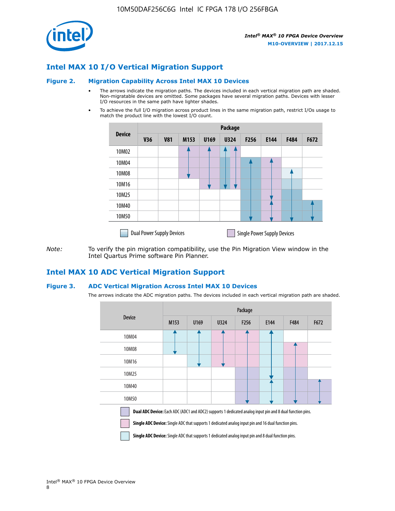

## **Intel MAX 10 I/O Vertical Migration Support**

#### **Figure 2. Migration Capability Across Intel MAX 10 Devices**

- The arrows indicate the migration paths. The devices included in each vertical migration path are shaded. Non-migratable devices are omitted. Some packages have several migration paths. Devices with lesser I/O resources in the same path have lighter shades.
- To achieve the full I/O migration across product lines in the same migration path, restrict I/Os usage to match the product line with the lowest I/O count.

|               | <b>Package</b>                   |            |      |      |             |                  |                                    |      |      |  |
|---------------|----------------------------------|------------|------|------|-------------|------------------|------------------------------------|------|------|--|
| <b>Device</b> | <b>V36</b>                       | <b>V81</b> | M153 | U169 | <b>U324</b> | F <sub>256</sub> | E144                               | F484 | F672 |  |
| 10M02         |                                  |            |      |      | 7           |                  |                                    |      |      |  |
| 10M04         |                                  |            |      |      |             |                  |                                    |      |      |  |
| 10M08         |                                  |            |      |      |             |                  |                                    |      |      |  |
| 10M16         |                                  |            |      |      |             |                  |                                    |      |      |  |
| 10M25         |                                  |            |      |      |             |                  |                                    |      |      |  |
| 10M40         |                                  |            |      |      |             |                  |                                    |      |      |  |
| 10M50         |                                  |            |      |      |             |                  |                                    |      |      |  |
|               | <b>Dual Power Supply Devices</b> |            |      |      |             |                  | <b>Single Power Supply Devices</b> |      |      |  |

*Note:* To verify the pin migration compatibility, use the Pin Migration View window in the Intel Quartus Prime software Pin Planner.

## **Intel MAX 10 ADC Vertical Migration Support**

#### **Figure 3. ADC Vertical Migration Across Intel MAX 10 Devices**

The arrows indicate the ADC migration paths. The devices included in each vertical migration path are shaded.

|                                                                                                                                                                                                                  | Package          |      |      |                  |      |      |      |  |  |
|------------------------------------------------------------------------------------------------------------------------------------------------------------------------------------------------------------------|------------------|------|------|------------------|------|------|------|--|--|
| <b>Device</b>                                                                                                                                                                                                    | M <sub>153</sub> | U169 | U324 | F <sub>256</sub> | E144 | F484 | F672 |  |  |
| 10M04                                                                                                                                                                                                            |                  |      |      |                  |      |      |      |  |  |
| 10M08                                                                                                                                                                                                            |                  |      |      |                  |      |      |      |  |  |
| 10M16                                                                                                                                                                                                            |                  |      |      |                  |      |      |      |  |  |
| 10M25                                                                                                                                                                                                            |                  |      |      |                  |      |      |      |  |  |
| 10M40                                                                                                                                                                                                            |                  |      |      |                  |      |      |      |  |  |
| 10M50                                                                                                                                                                                                            |                  |      |      |                  |      |      |      |  |  |
| Dual ADC Device: Each ADC (ADC1 and ADC2) supports 1 dedicated analog input pin and 8 dual function pins.<br>Single ADC Device: Single ADC that supports 1 dedicated analog input pin and 16 dual function pins. |                  |      |      |                  |      |      |      |  |  |

**Single ADC Device:** Single ADC that supports 1 dedicated analog input pin and 8 dual function pins.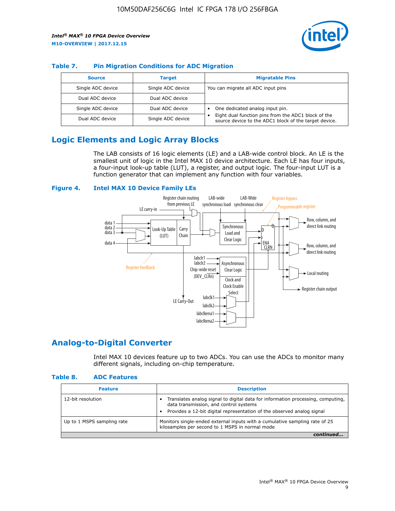

## **Table 7. Pin Migration Conditions for ADC Migration**

| <b>Source</b>     | <b>Target</b>     | <b>Migratable Pins</b>                                                                                            |
|-------------------|-------------------|-------------------------------------------------------------------------------------------------------------------|
| Single ADC device | Single ADC device | You can migrate all ADC input pins                                                                                |
| Dual ADC device   | Dual ADC device   |                                                                                                                   |
| Single ADC device | Dual ADC device   | One dedicated analog input pin.                                                                                   |
| Dual ADC device   | Single ADC device | Eight dual function pins from the ADC1 block of the<br>٠<br>source device to the ADC1 block of the target device. |

# **Logic Elements and Logic Array Blocks**

The LAB consists of 16 logic elements (LE) and a LAB-wide control block. An LE is the smallest unit of logic in the Intel MAX 10 device architecture. Each LE has four inputs, a four-input look-up table (LUT), a register, and output logic. The four-input LUT is a function generator that can implement any function with four variables.

#### **Figure 4. Intel MAX 10 Device Family LEs**



## **Analog-to-Digital Converter**

Intel MAX 10 devices feature up to two ADCs. You can use the ADCs to monitor many different signals, including on-chip temperature.

#### **Table 8. ADC Features**

| <b>Feature</b>             | <b>Description</b>                                                                                                                                                                                  |
|----------------------------|-----------------------------------------------------------------------------------------------------------------------------------------------------------------------------------------------------|
| 12-bit resolution          | Translates analog signal to digital data for information processing, computing,<br>data transmission, and control systems<br>Provides a 12-bit digital representation of the observed analog signal |
| Up to 1 MSPS sampling rate | Monitors single-ended external inputs with a cumulative sampling rate of 25<br>kilosamples per second to 1 MSPS in normal mode                                                                      |
|                            |                                                                                                                                                                                                     |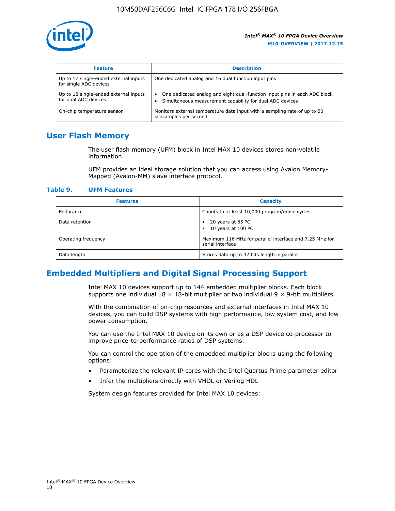

| <b>Feature</b>                                                  | <b>Description</b>                                                                                                                         |
|-----------------------------------------------------------------|--------------------------------------------------------------------------------------------------------------------------------------------|
| Up to 17 single-ended external inputs<br>for single ADC devices | One dedicated analog and 16 dual function input pins                                                                                       |
| Up to 18 single-ended external inputs<br>for dual ADC devices   | One dedicated analog and eight dual-function input pins in each ADC block<br>٠<br>Simultaneous measurement capability for dual ADC devices |
| On-chip temperature sensor                                      | Monitors external temperature data input with a sampling rate of up to 50<br>kilosamples per second                                        |

## **User Flash Memory**

The user flash memory (UFM) block in Intel MAX 10 devices stores non-volatile information.

UFM provides an ideal storage solution that you can access using Avalon Memory-Mapped (Avalon-MM) slave interface protocol.

#### **Table 9. UFM Features**

| <b>Features</b>     | <b>Capacity</b>                                                             |
|---------------------|-----------------------------------------------------------------------------|
| Endurance           | Counts to at least 10,000 program/erase cycles                              |
| Data retention      | 20 years at 85 $^{\circ}$ C<br>٠<br>10 years at 100 °C<br>$\bullet$         |
| Operating frequency | Maximum 116 MHz for parallel interface and 7.25 MHz for<br>serial interface |
| Data length         | Stores data up to 32 bits length in parallel                                |

## **Embedded Multipliers and Digital Signal Processing Support**

Intel MAX 10 devices support up to 144 embedded multiplier blocks. Each block supports one individual  $18 \times 18$ -bit multiplier or two individual  $9 \times 9$ -bit multipliers.

With the combination of on-chip resources and external interfaces in Intel MAX 10 devices, you can build DSP systems with high performance, low system cost, and low power consumption.

You can use the Intel MAX 10 device on its own or as a DSP device co-processor to improve price-to-performance ratios of DSP systems.

You can control the operation of the embedded multiplier blocks using the following options:

- Parameterize the relevant IP cores with the Intel Quartus Prime parameter editor
- Infer the multipliers directly with VHDL or Verilog HDL

System design features provided for Intel MAX 10 devices: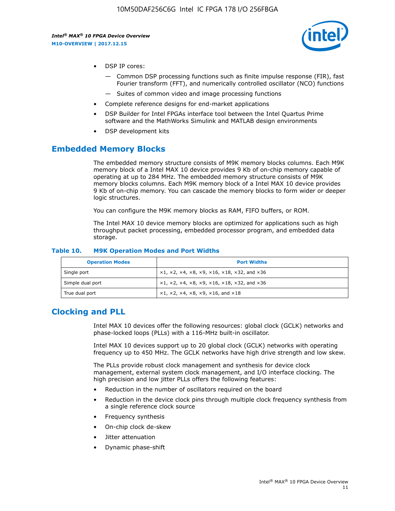

- DSP IP cores:
	- Common DSP processing functions such as finite impulse response (FIR), fast Fourier transform (FFT), and numerically controlled oscillator (NCO) functions
	- Suites of common video and image processing functions
- Complete reference designs for end-market applications
- DSP Builder for Intel FPGAs interface tool between the Intel Quartus Prime software and the MathWorks Simulink and MATLAB design environments
- DSP development kits

## **Embedded Memory Blocks**

The embedded memory structure consists of M9K memory blocks columns. Each M9K memory block of a Intel MAX 10 device provides 9 Kb of on-chip memory capable of operating at up to 284 MHz. The embedded memory structure consists of M9K memory blocks columns. Each M9K memory block of a Intel MAX 10 device provides 9 Kb of on-chip memory. You can cascade the memory blocks to form wider or deeper logic structures.

You can configure the M9K memory blocks as RAM, FIFO buffers, or ROM.

The Intel MAX 10 device memory blocks are optimized for applications such as high throughput packet processing, embedded processor program, and embedded data storage.

| <b>Operation Modes</b> | <b>Port Widths</b>                                                            |
|------------------------|-------------------------------------------------------------------------------|
| Single port            | $x1, x2, x4, x8, x9, x16, x18, x32, and x36$                                  |
| Simple dual port       | $x1, x2, x4, x8, x9, x16, x18, x32, and x36$                                  |
| True dual port         | $\times1, \times2, \times4, \times8, \times9, \times16, \text{and } \times18$ |

#### **Table 10. M9K Operation Modes and Port Widths**

# **Clocking and PLL**

Intel MAX 10 devices offer the following resources: global clock (GCLK) networks and phase-locked loops (PLLs) with a 116-MHz built-in oscillator.

Intel MAX 10 devices support up to 20 global clock (GCLK) networks with operating frequency up to 450 MHz. The GCLK networks have high drive strength and low skew.

The PLLs provide robust clock management and synthesis for device clock management, external system clock management, and I/O interface clocking. The high precision and low jitter PLLs offers the following features:

- Reduction in the number of oscillators required on the board
- Reduction in the device clock pins through multiple clock frequency synthesis from a single reference clock source
- Frequency synthesis
- On-chip clock de-skew
- Jitter attenuation
- Dynamic phase-shift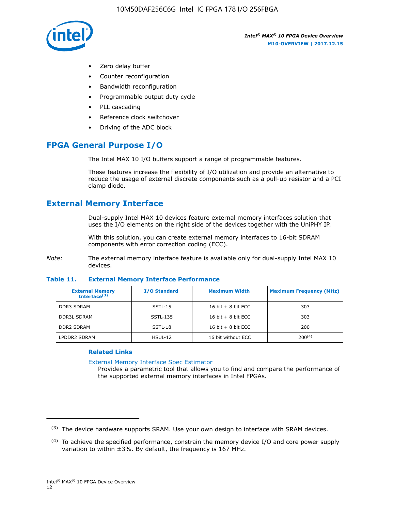

- Zero delay buffer
- Counter reconfiguration
- Bandwidth reconfiguration
- Programmable output duty cycle
- PLL cascading
- Reference clock switchover
- Driving of the ADC block

# **FPGA General Purpose I/O**

The Intel MAX 10 I/O buffers support a range of programmable features.

These features increase the flexibility of I/O utilization and provide an alternative to reduce the usage of external discrete components such as a pull-up resistor and a PCI clamp diode.

# **External Memory Interface**

Dual-supply Intel MAX 10 devices feature external memory interfaces solution that uses the I/O elements on the right side of the devices together with the UniPHY IP.

With this solution, you can create external memory interfaces to 16-bit SDRAM components with error correction coding (ECC).

*Note:* The external memory interface feature is available only for dual-supply Intel MAX 10 devices.

#### **Table 11. External Memory Interface Performance**

| <b>External Memory</b><br>Interface <sup>(3)</sup> | <b>I/O Standard</b> | <b>Maximum Width</b> | <b>Maximum Frequency (MHz)</b> |
|----------------------------------------------------|---------------------|----------------------|--------------------------------|
| <b>DDR3 SDRAM</b>                                  | SSTL-15             | 16 bit $+8$ bit ECC  | 303                            |
| <b>DDR3L SDRAM</b>                                 | SSTL-135            | 16 bit $+8$ bit ECC  | 303                            |
| <b>DDR2 SDRAM</b>                                  | SSTL-18             | 16 bit $+8$ bit ECC  | 200                            |
| LPDDR2 SDRAM                                       | $H SUL-12$          | 16 bit without ECC   | $200^{(4)}$                    |

## **Related Links**

[External Memory Interface Spec Estimator](http://www.altera.com/technology/memory/estimator/mem-emif-index.html)

Provides a parametric tool that allows you to find and compare the performance of the supported external memory interfaces in Intel FPGAs.

 $(3)$  The device hardware supports SRAM. Use your own design to interface with SRAM devices.

 $(4)$  To achieve the specified performance, constrain the memory device I/O and core power supply variation to within ±3%. By default, the frequency is 167 MHz.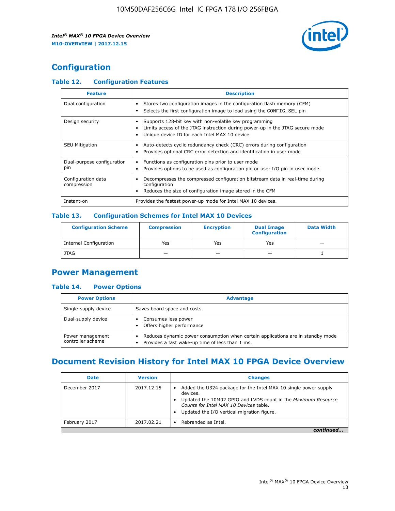

# **Configuration**

## **Table 12. Configuration Features**

| <b>Feature</b>                    | <b>Description</b>                                                                                                                                                                       |
|-----------------------------------|------------------------------------------------------------------------------------------------------------------------------------------------------------------------------------------|
| Dual configuration                | Stores two configuration images in the configuration flash memory (CFM)<br>Selects the first configuration image to load using the CONFIG SEL pin                                        |
| Design security                   | Supports 128-bit key with non-volatile key programming<br>Limits access of the JTAG instruction during power-up in the JTAG secure mode<br>Unique device ID for each Intel MAX 10 device |
| <b>SEU Mitigation</b>             | Auto-detects cyclic redundancy check (CRC) errors during configuration<br>Provides optional CRC error detection and identification in user mode                                          |
| Dual-purpose configuration<br>pin | Functions as configuration pins prior to user mode<br>Provides options to be used as configuration pin or user I/O pin in user mode                                                      |
| Configuration data<br>compression | Decompresses the compressed configuration bitstream data in real-time during<br>configuration<br>Reduces the size of configuration image stored in the CFM                               |
| Instant-on                        | Provides the fastest power-up mode for Intel MAX 10 devices.                                                                                                                             |

## **Table 13. Configuration Schemes for Intel MAX 10 Devices**

| <b>Configuration Scheme</b> | <b>Compression</b> | <b>Encryption</b> | <b>Dual Image</b><br><b>Configuration</b> | <b>Data Width</b> |
|-----------------------------|--------------------|-------------------|-------------------------------------------|-------------------|
| Internal Configuration      | Yes                | Yes               | Yes                                       |                   |
| <b>JTAG</b>                 | _                  |                   | -                                         |                   |

## **Power Management**

## **Table 14. Power Options**

| <b>Power Options</b>                  | <b>Advantage</b>                                                                                                                        |  |
|---------------------------------------|-----------------------------------------------------------------------------------------------------------------------------------------|--|
| Single-supply device                  | Saves board space and costs.                                                                                                            |  |
| Dual-supply device                    | Consumes less power<br>Offers higher performance<br>$\bullet$                                                                           |  |
| Power management<br>controller scheme | Reduces dynamic power consumption when certain applications are in standby mode<br>Provides a fast wake-up time of less than 1 ms.<br>٠ |  |

# **Document Revision History for Intel MAX 10 FPGA Device Overview**

| <b>Date</b>   | <b>Version</b> | <b>Changes</b>                                                                                                                                                                                                                       |
|---------------|----------------|--------------------------------------------------------------------------------------------------------------------------------------------------------------------------------------------------------------------------------------|
| December 2017 | 2017.12.15     | Added the U324 package for the Intel MAX 10 single power supply<br>devices.<br>Updated the 10M02 GPIO and LVDS count in the Maximum Resource<br>Counts for Intel MAX 10 Devices table.<br>Updated the I/O vertical migration figure. |
| February 2017 | 2017.02.21     | Rebranded as Intel.                                                                                                                                                                                                                  |
|               |                |                                                                                                                                                                                                                                      |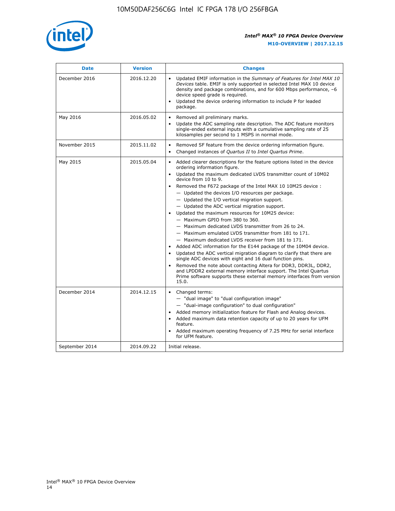

| <b>Date</b>    | <b>Version</b> | <b>Changes</b>                                                                                                                                                                                                                                                                                                                                                                                                                                                                                                                                                                                                                                                                                                                                                                                                                                                                                                                                                                                                                                                                                                                                           |
|----------------|----------------|----------------------------------------------------------------------------------------------------------------------------------------------------------------------------------------------------------------------------------------------------------------------------------------------------------------------------------------------------------------------------------------------------------------------------------------------------------------------------------------------------------------------------------------------------------------------------------------------------------------------------------------------------------------------------------------------------------------------------------------------------------------------------------------------------------------------------------------------------------------------------------------------------------------------------------------------------------------------------------------------------------------------------------------------------------------------------------------------------------------------------------------------------------|
| December 2016  | 2016.12.20     | • Updated EMIF information in the Summary of Features for Intel MAX 10<br>Devices table. EMIF is only supported in selected Intel MAX 10 device<br>density and package combinations, and for 600 Mbps performance, -6<br>device speed grade is required.<br>Updated the device ordering information to include P for leaded<br>package.                                                                                                                                                                                                                                                                                                                                                                                                                                                                                                                                                                                                                                                                                                                                                                                                                  |
| May 2016       | 2016.05.02     | Removed all preliminary marks.<br>Update the ADC sampling rate description. The ADC feature monitors<br>$\bullet$<br>single-ended external inputs with a cumulative sampling rate of 25<br>kilosamples per second to 1 MSPS in normal mode.                                                                                                                                                                                                                                                                                                                                                                                                                                                                                                                                                                                                                                                                                                                                                                                                                                                                                                              |
| November 2015  | 2015.11.02     | Removed SF feature from the device ordering information figure.<br>$\bullet$<br>Changed instances of Quartus II to Intel Quartus Prime.<br>$\bullet$                                                                                                                                                                                                                                                                                                                                                                                                                                                                                                                                                                                                                                                                                                                                                                                                                                                                                                                                                                                                     |
| May 2015       | 2015.05.04     | Added clearer descriptions for the feature options listed in the device<br>$\bullet$<br>ordering information figure.<br>Updated the maximum dedicated LVDS transmitter count of 10M02<br>$\bullet$<br>device from 10 to 9.<br>Removed the F672 package of the Intel MAX 10 10M25 device :<br>- Updated the devices I/O resources per package.<br>$-$ Updated the I/O vertical migration support.<br>- Updated the ADC vertical migration support.<br>Updated the maximum resources for 10M25 device:<br>- Maximum GPIO from 380 to 360.<br>- Maximum dedicated LVDS transmitter from 26 to 24.<br>- Maximum emulated LVDS transmitter from 181 to 171.<br>- Maximum dedicated LVDS receiver from 181 to 171.<br>Added ADC information for the E144 package of the 10M04 device.<br>$\bullet$<br>Updated the ADC vertical migration diagram to clarify that there are<br>single ADC devices with eight and 16 dual function pins.<br>Removed the note about contacting Altera for DDR3, DDR3L, DDR2,<br>and LPDDR2 external memory interface support. The Intel Quartus<br>Prime software supports these external memory interfaces from version<br>15.0. |
| December 2014  | 2014.12.15     | $\bullet$<br>Changed terms:<br>- "dual image" to "dual configuration image"<br>- "dual-image configuration" to dual configuration"<br>Added memory initialization feature for Flash and Analog devices.<br>$\bullet$<br>Added maximum data retention capacity of up to 20 years for UFM<br>$\bullet$<br>feature.<br>Added maximum operating frequency of 7.25 MHz for serial interface<br>for UFM feature.                                                                                                                                                                                                                                                                                                                                                                                                                                                                                                                                                                                                                                                                                                                                               |
| September 2014 | 2014.09.22     | Initial release.                                                                                                                                                                                                                                                                                                                                                                                                                                                                                                                                                                                                                                                                                                                                                                                                                                                                                                                                                                                                                                                                                                                                         |